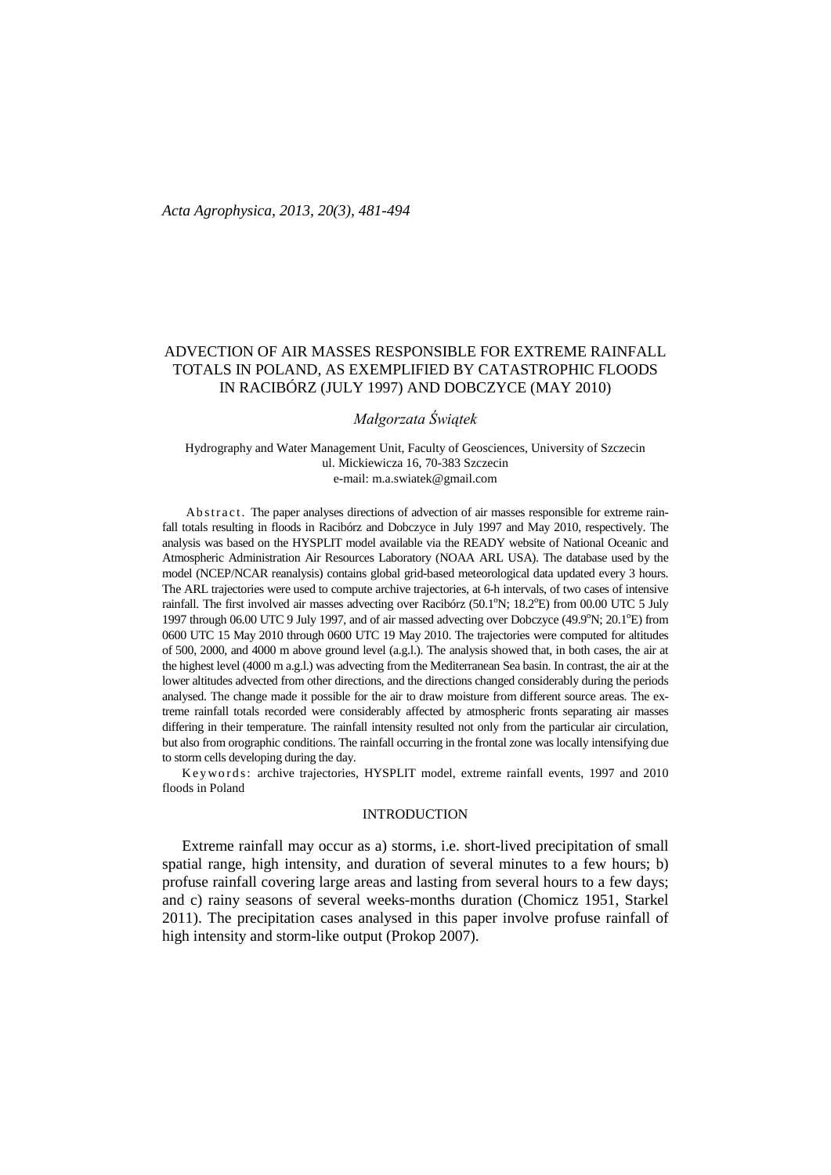## ADVECTION OF AIR MASSES RESPONSIBLE FOR EXTREME RAINFALL TOTALS IN POLAND, AS EXEMPLIFIED BY CATASTROPHIC FLOODS IN RACIBÓRZ (JULY 1997) AND DOBCZYCE (MAY 2010)

*Małgorzata Świątek*

Hydrography and Water Management Unit, Faculty of Geosciences, University of Szczecin ul. Mickiewicza 16, 70-383 Szczecin e-mail: [m.a.swiatek@gmail.com](mailto:m.a.swiatek@gmail.com)

Abstract. The paper analyses directions of advection of air masses responsible for extreme rainfall totals resulting in floods in Racibórz and Dobczyce in July 1997 and May 2010, respectively. The analysis was based on the HYSPLIT model available via the READY website of National Oceanic and Atmospheric Administration Air Resources Laboratory (NOAA ARL USA). The database used by the model (NCEP/NCAR reanalysis) contains global grid-based meteorological data updated every 3 hours. The ARL trajectories were used to compute archive trajectories, at 6-h intervals, of two cases of intensive rainfall. The first involved air masses advecting over Racibórz (50.1°N; 18.2°E) from 00.00 UTC 5 July 1997 through 06.00 UTC 9 July 1997, and of air massed advecting over Dobczyce (49.9°N; 20.1°E) from 0600 UTC 15 May 2010 through 0600 UTC 19 May 2010. The trajectories were computed for altitudes of 500, 2000, and 4000 m above ground level (a.g.l.). The analysis showed that, in both cases, the air at the highest level (4000 m a.g.l.) was advecting from the Mediterranean Sea basin. In contrast, the air at the lower altitudes advected from other directions, and the directions changed considerably during the periods analysed. The change made it possible for the air to draw moisture from different source areas. The extreme rainfall totals recorded were considerably affected by atmospheric fronts separating air masses differing in their temperature. The rainfall intensity resulted not only from the particular air circulation, but also from orographic conditions. The rainfall occurring in the frontal zone was locally intensifying due to storm cells developing during the day.

Keywords: archive trajectories, HYSPLIT model, extreme rainfall events, 1997 and 2010 floods in Poland

## INTRODUCTION

Extreme rainfall may occur as a) storms, i.e. short-lived precipitation of small spatial range, high intensity, and duration of several minutes to a few hours; b) profuse rainfall covering large areas and lasting from several hours to a few days; and c) rainy seasons of several weeks-months duration (Chomicz 1951, Starkel 2011). The precipitation cases analysed in this paper involve profuse rainfall of high intensity and storm-like output (Prokop 2007).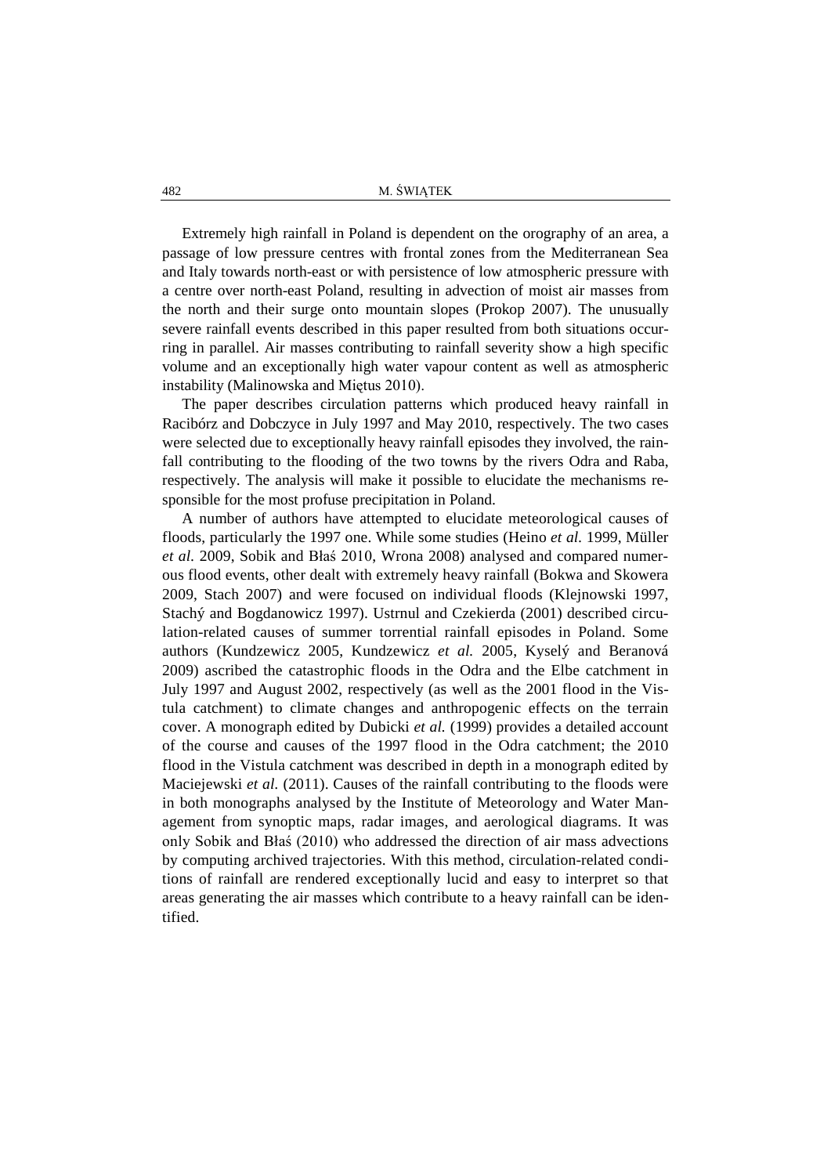Extremely high rainfall in Poland is dependent on the orography of an area, a passage of low pressure centres with frontal zones from the Mediterranean Sea and Italy towards north-east or with persistence of low atmospheric pressure with a centre over north-east Poland, resulting in advection of moist air masses from the north and their surge onto mountain slopes (Prokop 2007). The unusually severe rainfall events described in this paper resulted from both situations occurring in parallel. Air masses contributing to rainfall severity show a high specific volume and an exceptionally high water vapour content as well as atmospheric instability (Malinowska and Miętus 2010).

The paper describes circulation patterns which produced heavy rainfall in Racibórz and Dobczyce in July 1997 and May 2010, respectively. The two cases were selected due to exceptionally heavy rainfall episodes they involved, the rainfall contributing to the flooding of the two towns by the rivers Odra and Raba, respectively. The analysis will make it possible to elucidate the mechanisms responsible for the most profuse precipitation in Poland.

A number of authors have attempted to elucidate meteorological causes of floods, particularly the 1997 one. While some studies (Heino *et al.* 1999, Müller *et al.* 2009, Sobik and Błaś 2010, Wrona 2008) analysed and compared numerous flood events, other dealt with extremely heavy rainfall (Bokwa and Skowera 2009, Stach 2007) and were focused on individual floods (Klejnowski 1997, Stachý and Bogdanowicz 1997). Ustrnul and Czekierda (2001) described circulation-related causes of summer torrential rainfall episodes in Poland. Some authors (Kundzewicz 2005, Kundzewicz *et al.* 2005, Kyselý and Beranová 2009) ascribed the catastrophic floods in the Odra and the Elbe catchment in July 1997 and August 2002, respectively (as well as the 2001 flood in the Vistula catchment) to climate changes and anthropogenic effects on the terrain cover. A monograph edited by Dubicki *et al.* (1999) provides a detailed account of the course and causes of the 1997 flood in the Odra catchment; the 2010 flood in the Vistula catchment was described in depth in a monograph edited by Maciejewski *et al.* (2011). Causes of the rainfall contributing to the floods were in both monographs analysed by the Institute of Meteorology and Water Management from synoptic maps, radar images, and aerological diagrams. It was only Sobik and Błaś (2010) who addressed the direction of air mass advections by computing archived trajectories. With this method, circulation-related conditions of rainfall are rendered exceptionally lucid and easy to interpret so that areas generating the air masses which contribute to a heavy rainfall can be identified.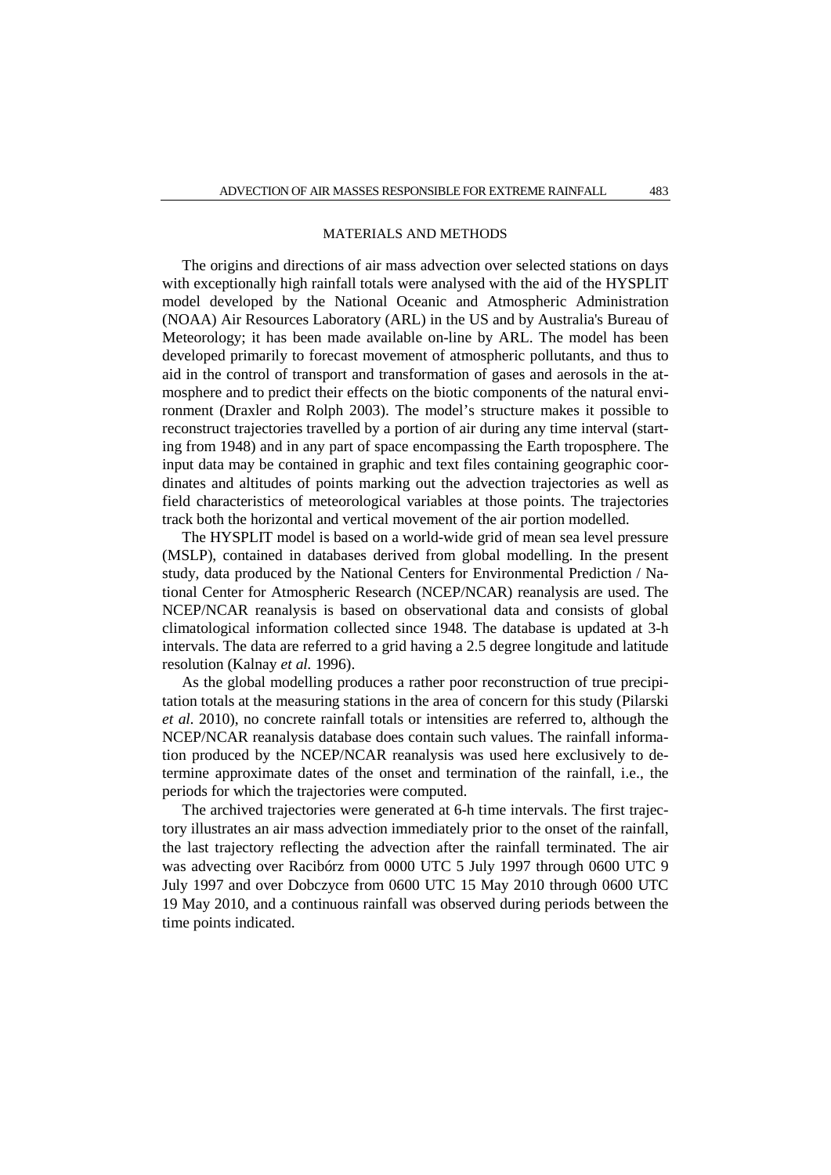### MATERIALS AND METHODS

The origins and directions of air mass advection over selected stations on days with exceptionally high rainfall totals were analysed with the aid of the HYSPLIT model developed by the National Oceanic and Atmospheric Administration (NOAA) Air Resources Laboratory (ARL) in the US and by Australia's Bureau of Meteorology; it has been made available on-line by ARL. The model has been developed primarily to forecast movement of atmospheric pollutants, and thus to aid in the control of transport and transformation of gases and aerosols in the atmosphere and to predict their effects on the biotic components of the natural environment (Draxler and Rolph 2003). The model's structure makes it possible to reconstruct trajectories travelled by a portion of air during any time interval (starting from 1948) and in any part of space encompassing the Earth troposphere. The input data may be contained in graphic and text files containing geographic coordinates and altitudes of points marking out the advection trajectories as well as field characteristics of meteorological variables at those points. The trajectories track both the horizontal and vertical movement of the air portion modelled.

The HYSPLIT model is based on a world-wide grid of mean sea level pressure (MSLP), contained in databases derived from global modelling. In the present study, data produced by the National Centers for Environmental Prediction / National Center for Atmospheric Research (NCEP/NCAR) reanalysis are used. The NCEP/NCAR reanalysis is based on observational data and consists of global climatological information collected since 1948. The database is updated at 3-h intervals. The data are referred to a grid having a 2.5 degree longitude and latitude resolution (Kalnay *et al.* 1996).

As the global modelling produces a rather poor reconstruction of true precipitation totals at the measuring stations in the area of concern for this study (Pilarski *et al.* 2010), no concrete rainfall totals or intensities are referred to, although the NCEP/NCAR reanalysis database does contain such values. The rainfall information produced by the NCEP/NCAR reanalysis was used here exclusively to determine approximate dates of the onset and termination of the rainfall, i.e., the periods for which the trajectories were computed.

The archived trajectories were generated at 6-h time intervals. The first trajectory illustrates an air mass advection immediately prior to the onset of the rainfall, the last trajectory reflecting the advection after the rainfall terminated. The air was advecting over Racibórz from 0000 UTC 5 July 1997 through 0600 UTC 9 July 1997 and over Dobczyce from 0600 UTC 15 May 2010 through 0600 UTC 19 May 2010, and a continuous rainfall was observed during periods between the time points indicated.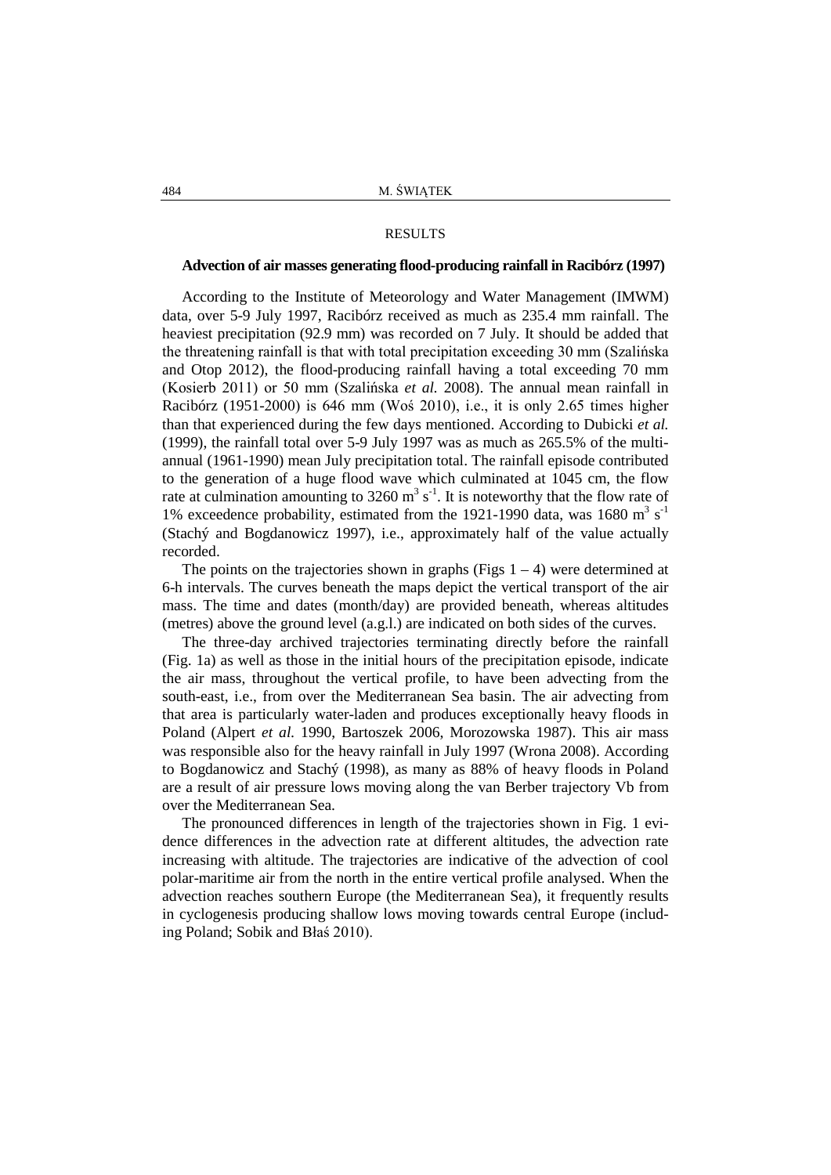### RESULTS

## **Advection of air masses generating flood-producing rainfall in Racibórz (1997)**

According to the Institute of Meteorology and Water Management (IMWM) data, over 5-9 July 1997, Racibórz received as much as 235.4 mm rainfall. The heaviest precipitation (92.9 mm) was recorded on 7 July. It should be added that the threatening rainfall is that with total precipitation exceeding 30 mm (Szalińska and Otop 2012), the flood-producing rainfall having a total exceeding 70 mm (Kosierb 2011) or 50 mm (Szalińska *et al.* 2008). The annual mean rainfall in Racibórz (1951-2000) is 646 mm (Woś 2010), i.e., it is only 2.65 times higher than that experienced during the few days mentioned. According to Dubicki *et al.* (1999), the rainfall total over 5-9 July 1997 was as much as 265.5% of the multiannual (1961-1990) mean July precipitation total. The rainfall episode contributed to the generation of a huge flood wave which culminated at 1045 cm, the flow rate at culmination amounting to 3260  $m^3 s^{-1}$ . It is noteworthy that the flow rate of 1% exceedence probability, estimated from the 1921-1990 data, was  $1680 \text{ m}^3 \text{ s}^{-1}$ (Stachý and Bogdanowicz 1997), i.e., approximately half of the value actually recorded.

The points on the trajectories shown in graphs (Figs  $1 - 4$ ) were determined at 6-h intervals. The curves beneath the maps depict the vertical transport of the air mass. The time and dates (month/day) are provided beneath, whereas altitudes (metres) above the ground level (a.g.l.) are indicated on both sides of the curves.

The three-day archived trajectories terminating directly before the rainfall (Fig. 1a) as well as those in the initial hours of the precipitation episode, indicate the air mass, throughout the vertical profile, to have been advecting from the south-east, i.e., from over the Mediterranean Sea basin. The air advecting from that area is particularly water-laden and produces exceptionally heavy floods in Poland (Alpert *et al.* 1990, Bartoszek 2006, Morozowska 1987). This air mass was responsible also for the heavy rainfall in July 1997 (Wrona 2008). According to Bogdanowicz and Stachý (1998), as many as 88% of heavy floods in Poland are a result of air pressure lows moving along the van Berber trajectory Vb from over the Mediterranean Sea.

The pronounced differences in length of the trajectories shown in Fig. 1 evidence differences in the advection rate at different altitudes, the advection rate increasing with altitude. The trajectories are indicative of the advection of cool polar-maritime air from the north in the entire vertical profile analysed. When the advection reaches southern Europe (the Mediterranean Sea), it frequently results in cyclogenesis producing shallow lows moving towards central Europe (including Poland; Sobik and Błaś 2010).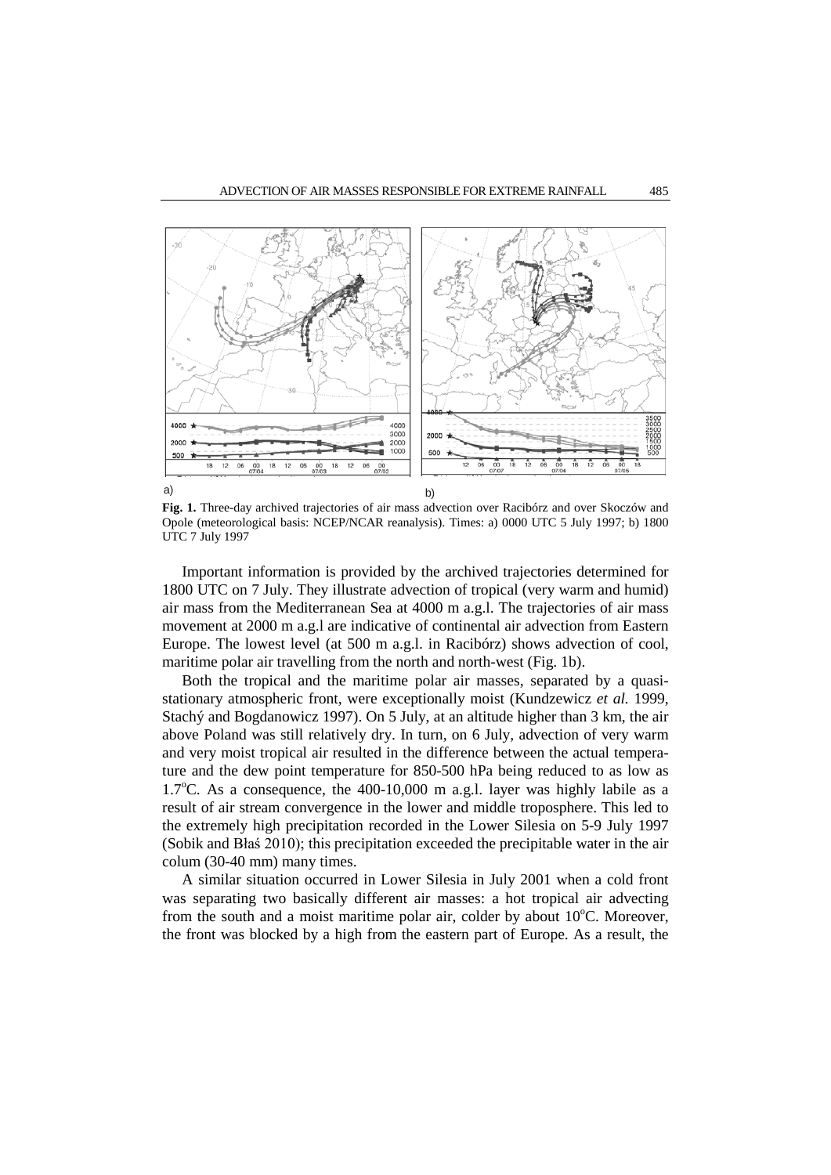

**Fig. 1.** Three-day archived trajectories of air mass advection over Racibórz and over Skoczów and Opole (meteorological basis: NCEP/NCAR reanalysis). Times: a) 0000 UTC 5 July 1997; b) 1800 UTC 7 July 1997

Important information is provided by the archived trajectories determined for 1800 UTC on 7 July. They illustrate advection of tropical (very warm and humid) air mass from the Mediterranean Sea at 4000 m a.g.l. The trajectories of air mass movement at 2000 m a.g.l are indicative of continental air advection from Eastern Europe. The lowest level (at 500 m a.g.l. in Racibórz) shows advection of cool, maritime polar air travelling from the north and north-west (Fig. 1b).

Both the tropical and the maritime polar air masses, separated by a quasistationary atmospheric front, were exceptionally moist (Kundzewicz *et al.* 1999, Stachý and Bogdanowicz 1997). On 5 July, at an altitude higher than 3 km, the air above Poland was still relatively dry. In turn, on 6 July, advection of very warm and very moist tropical air resulted in the difference between the actual temperature and the dew point temperature for 850-500 hPa being reduced to as low as 1.7°C. As a consequence, the 400-10,000 m a.g.l. layer was highly labile as a result of air stream convergence in the lower and middle troposphere. This led to the extremely high precipitation recorded in the Lower Silesia on 5-9 July 1997 (Sobik and Błaś 2010); this precipitation exceeded the precipitable water in the air colum (30-40 mm) many times.

A similar situation occurred in Lower Silesia in July 2001 when a cold front was separating two basically different air masses: a hot tropical air advecting from the south and a moist maritime polar air, colder by about 10°C. Moreover, the front was blocked by a high from the eastern part of Europe. As a result, the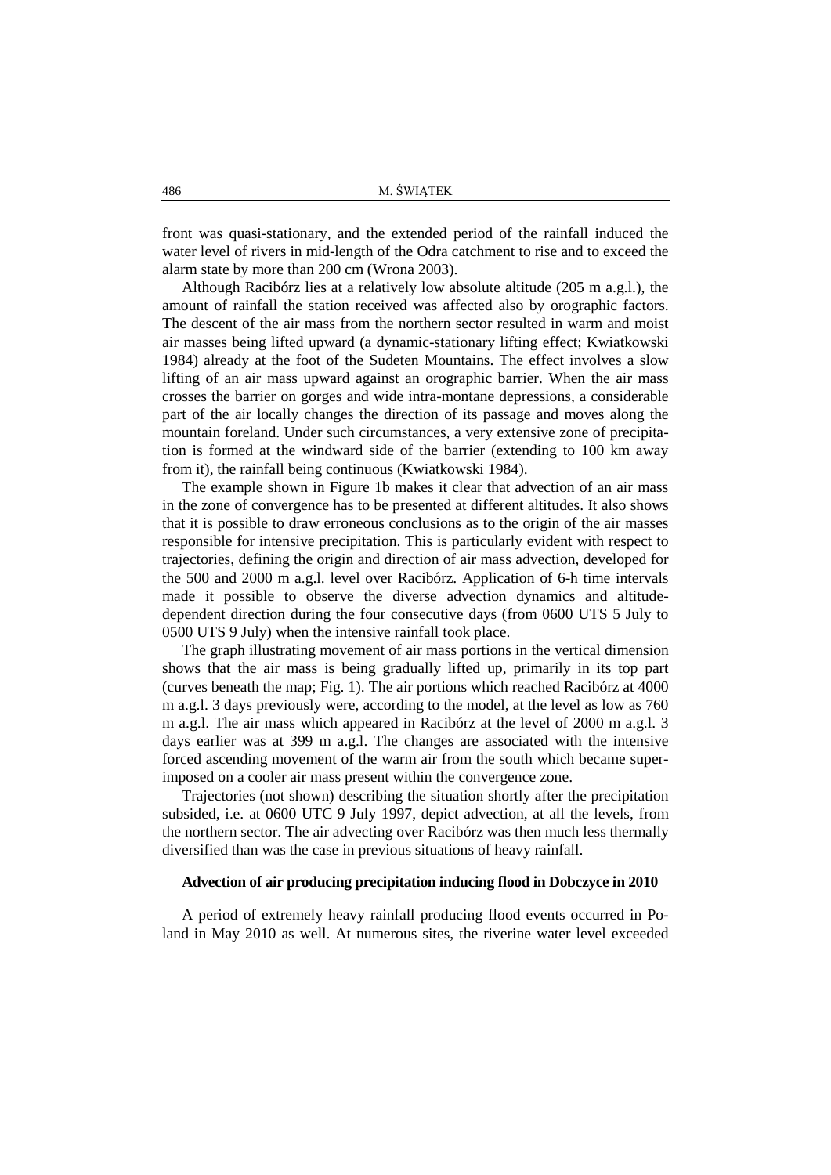front was quasi-stationary, and the extended period of the rainfall induced the water level of rivers in mid-length of the Odra catchment to rise and to exceed the alarm state by more than 200 cm (Wrona 2003).

Although Racibórz lies at a relatively low absolute altitude (205 m a.g.l.), the amount of rainfall the station received was affected also by orographic factors. The descent of the air mass from the northern sector resulted in warm and moist air masses being lifted upward (a dynamic-stationary lifting effect; Kwiatkowski 1984) already at the foot of the Sudeten Mountains. The effect involves a slow lifting of an air mass upward against an orographic barrier. When the air mass crosses the barrier on gorges and wide intra-montane depressions, a considerable part of the air locally changes the direction of its passage and moves along the mountain foreland. Under such circumstances, a very extensive zone of precipitation is formed at the windward side of the barrier (extending to 100 km away from it), the rainfall being continuous (Kwiatkowski 1984).

The example shown in Figure 1b makes it clear that advection of an air mass in the zone of convergence has to be presented at different altitudes. It also shows that it is possible to draw erroneous conclusions as to the origin of the air masses responsible for intensive precipitation. This is particularly evident with respect to trajectories, defining the origin and direction of air mass advection, developed for the 500 and 2000 m a.g.l. level over Racibórz. Application of 6-h time intervals made it possible to observe the diverse advection dynamics and altitudedependent direction during the four consecutive days (from 0600 UTS 5 July to 0500 UTS 9 July) when the intensive rainfall took place.

The graph illustrating movement of air mass portions in the vertical dimension shows that the air mass is being gradually lifted up, primarily in its top part (curves beneath the map; Fig. 1). The air portions which reached Racibórz at 4000 m a.g.l. 3 days previously were, according to the model, at the level as low as 760 m a.g.l. The air mass which appeared in Racibórz at the level of 2000 m a.g.l. 3 days earlier was at 399 m a.g.l. The changes are associated with the intensive forced ascending movement of the warm air from the south which became superimposed on a cooler air mass present within the convergence zone.

Trajectories (not shown) describing the situation shortly after the precipitation subsided, i.e. at 0600 UTC 9 July 1997, depict advection, at all the levels, from the northern sector. The air advecting over Racibórz was then much less thermally diversified than was the case in previous situations of heavy rainfall.

## **Advection of air producing precipitation inducing flood in Dobczyce in 2010**

A period of extremely heavy rainfall producing flood events occurred in Poland in May 2010 as well. At numerous sites, the riverine water level exceeded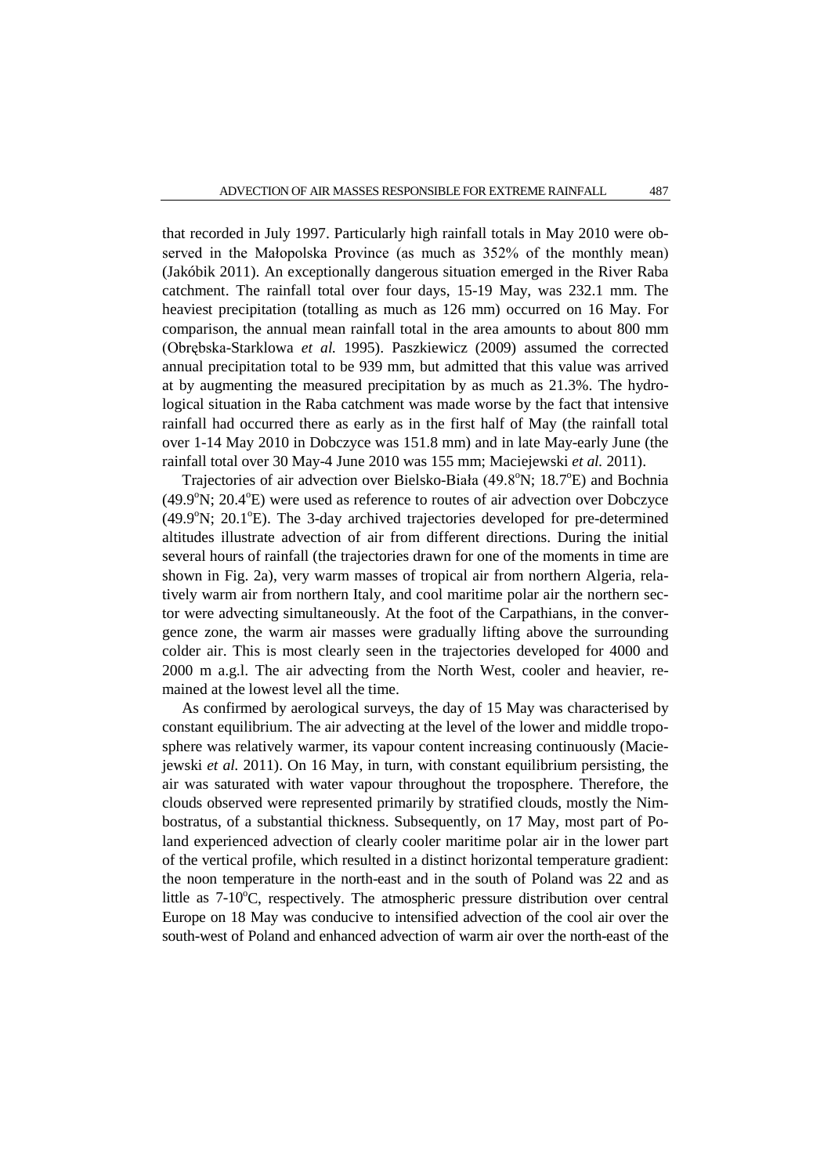that recorded in July 1997. Particularly high rainfall totals in May 2010 were observed in the Małopolska Province (as much as 352% of the monthly mean) (Jakóbik 2011). An exceptionally dangerous situation emerged in the River Raba catchment. The rainfall total over four days, 15-19 May, was 232.1 mm. The heaviest precipitation (totalling as much as 126 mm) occurred on 16 May. For comparison, the annual mean rainfall total in the area amounts to about 800 mm (Obrębska-Starklowa *et al.* 1995). Paszkiewicz (2009) assumed the corrected annual precipitation total to be 939 mm, but admitted that this value was arrived at by augmenting the measured precipitation by as much as 21.3%. The hydrological situation in the Raba catchment was made worse by the fact that intensive rainfall had occurred there as early as in the first half of May (the rainfall total over 1-14 May 2010 in Dobczyce was 151.8 mm) and in late May-early June (the rainfall total over 30 May-4 June 2010 was 155 mm; Maciejewski *et al.* 2011).

Trajectories of air advection over Bielsko-Biała (49.8°N; 18.7°E) and Bochnia  $(49.9^{\circ}N; 20.4^{\circ}E)$  were used as reference to routes of air advection over Dobczyce (49.9°N; 20.1°E). The 3-day archived trajectories developed for pre-determined altitudes illustrate advection of air from different directions. During the initial several hours of rainfall (the trajectories drawn for one of the moments in time are shown in Fig. 2a), very warm masses of tropical air from northern Algeria, relatively warm air from northern Italy, and cool maritime polar air the northern sector were advecting simultaneously. At the foot of the Carpathians, in the convergence zone, the warm air masses were gradually lifting above the surrounding colder air. This is most clearly seen in the trajectories developed for 4000 and 2000 m a.g.l. The air advecting from the North West, cooler and heavier, remained at the lowest level all the time.

As confirmed by aerological surveys, the day of 15 May was characterised by constant equilibrium. The air advecting at the level of the lower and middle troposphere was relatively warmer, its vapour content increasing continuously (Maciejewski *et al.* 2011). On 16 May, in turn, with constant equilibrium persisting, the air was saturated with water vapour throughout the troposphere. Therefore, the clouds observed were represented primarily by stratified clouds, mostly the Nimbostratus, of a substantial thickness. Subsequently, on 17 May, most part of Poland experienced advection of clearly cooler maritime polar air in the lower part of the vertical profile, which resulted in a distinct horizontal temperature gradient: the noon temperature in the north-east and in the south of Poland was 22 and as little as 7-10°C, respectively. The atmospheric pressure distribution over central Europe on 18 May was conducive to intensified advection of the cool air over the south-west of Poland and enhanced advection of warm air over the north-east of the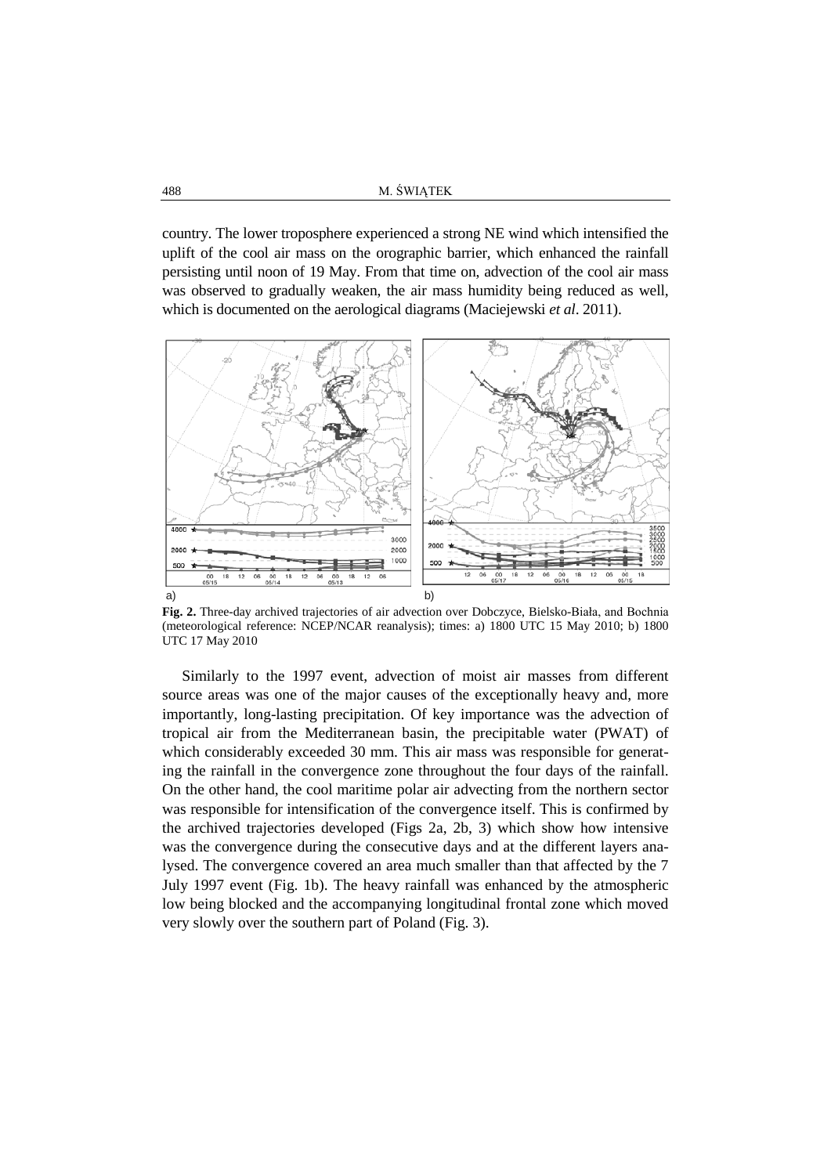country. The lower troposphere experienced a strong NE wind which intensified the uplift of the cool air mass on the orographic barrier, which enhanced the rainfall persisting until noon of 19 May. From that time on, advection of the cool air mass was observed to gradually weaken, the air mass humidity being reduced as well, which is documented on the aerological diagrams (Maciejewski *et al*. 2011).



**Fig. 2.** Three-day archived trajectories of air advection over Dobczyce, Bielsko-Biała, and Bochnia (meteorological reference: NCEP/NCAR reanalysis); times: a) 1800 UTC 15 May 2010; b) 1800 UTC 17 May 2010

Similarly to the 1997 event, advection of moist air masses from different source areas was one of the major causes of the exceptionally heavy and, more importantly, long-lasting precipitation. Of key importance was the advection of tropical air from the Mediterranean basin, the precipitable water (PWAT) of which considerably exceeded 30 mm. This air mass was responsible for generating the rainfall in the convergence zone throughout the four days of the rainfall. On the other hand, the cool maritime polar air advecting from the northern sector was responsible for intensification of the convergence itself. This is confirmed by the archived trajectories developed (Figs 2a, 2b, 3) which show how intensive was the convergence during the consecutive days and at the different layers analysed. The convergence covered an area much smaller than that affected by the 7 July 1997 event (Fig. 1b). The heavy rainfall was enhanced by the atmospheric low being blocked and the accompanying longitudinal frontal zone which moved very slowly over the southern part of Poland (Fig. 3).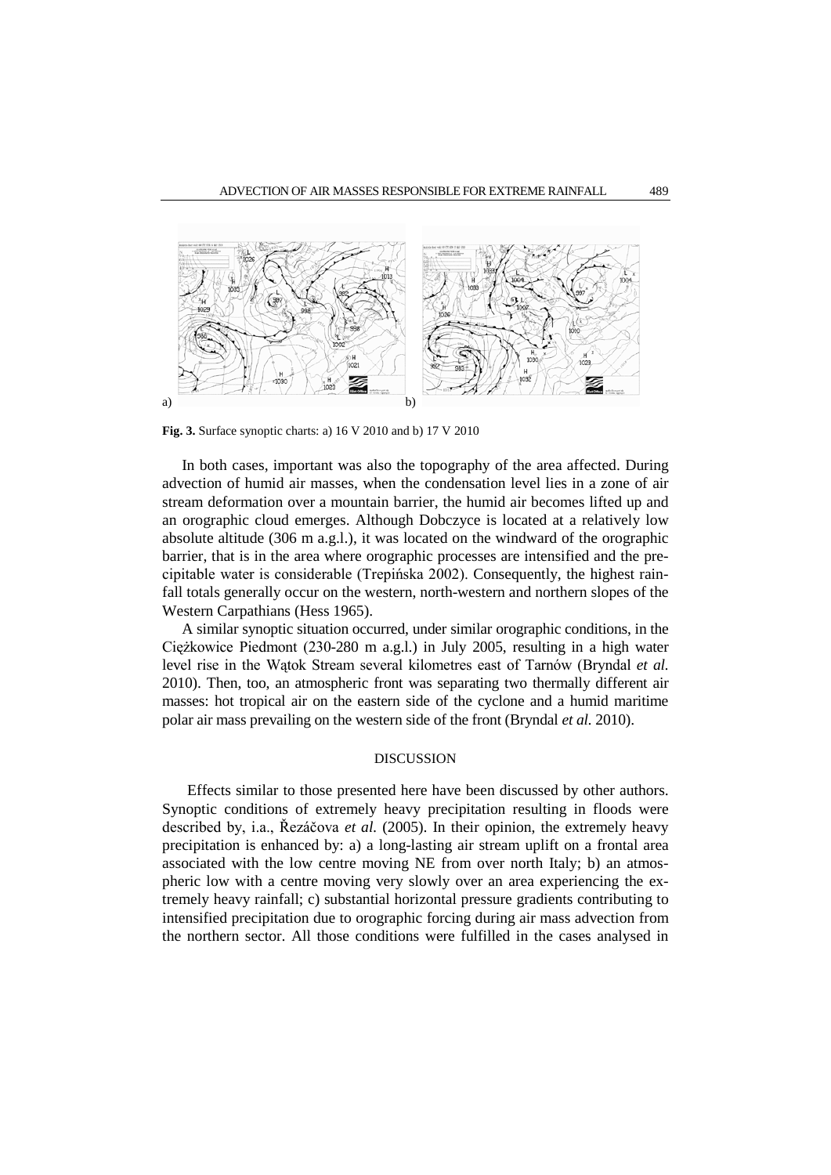

**Fig. 3.** Surface synoptic charts: a) 16 V 2010 and b) 17 V 2010

In both cases, important was also the topography of the area affected. During advection of humid air masses, when the condensation level lies in a zone of air stream deformation over a mountain barrier, the humid air becomes lifted up and an orographic cloud emerges. Although Dobczyce is located at a relatively low absolute altitude (306 m a.g.l.), it was located on the windward of the orographic barrier, that is in the area where orographic processes are intensified and the precipitable water is considerable (Trepińska 2002). Consequently, the highest rainfall totals generally occur on the western, north-western and northern slopes of the Western Carpathians (Hess 1965).

A similar synoptic situation occurred, under similar orographic conditions, in the Ciężkowice Piedmont (230-280 m a.g.l.) in July 2005, resulting in a high water level rise in the Wątok Stream several kilometres east of Tarnów (Bryndal *et al.* 2010). Then, too, an atmospheric front was separating two thermally different air masses: hot tropical air on the eastern side of the cyclone and a humid maritime polar air mass prevailing on the western side of the front (Bryndal *et al.* 2010).

## DISCUSSION

Effects similar to those presented here have been discussed by other authors. Synoptic conditions of extremely heavy precipitation resulting in floods were described by, i.a., Řezáčova *et al.* (2005). In their opinion, the extremely heavy precipitation is enhanced by: a) a long-lasting air stream uplift on a frontal area associated with the low centre moving NE from over north Italy; b) an atmospheric low with a centre moving very slowly over an area experiencing the extremely heavy rainfall; c) substantial horizontal pressure gradients contributing to intensified precipitation due to orographic forcing during air mass advection from the northern sector. All those conditions were fulfilled in the cases analysed in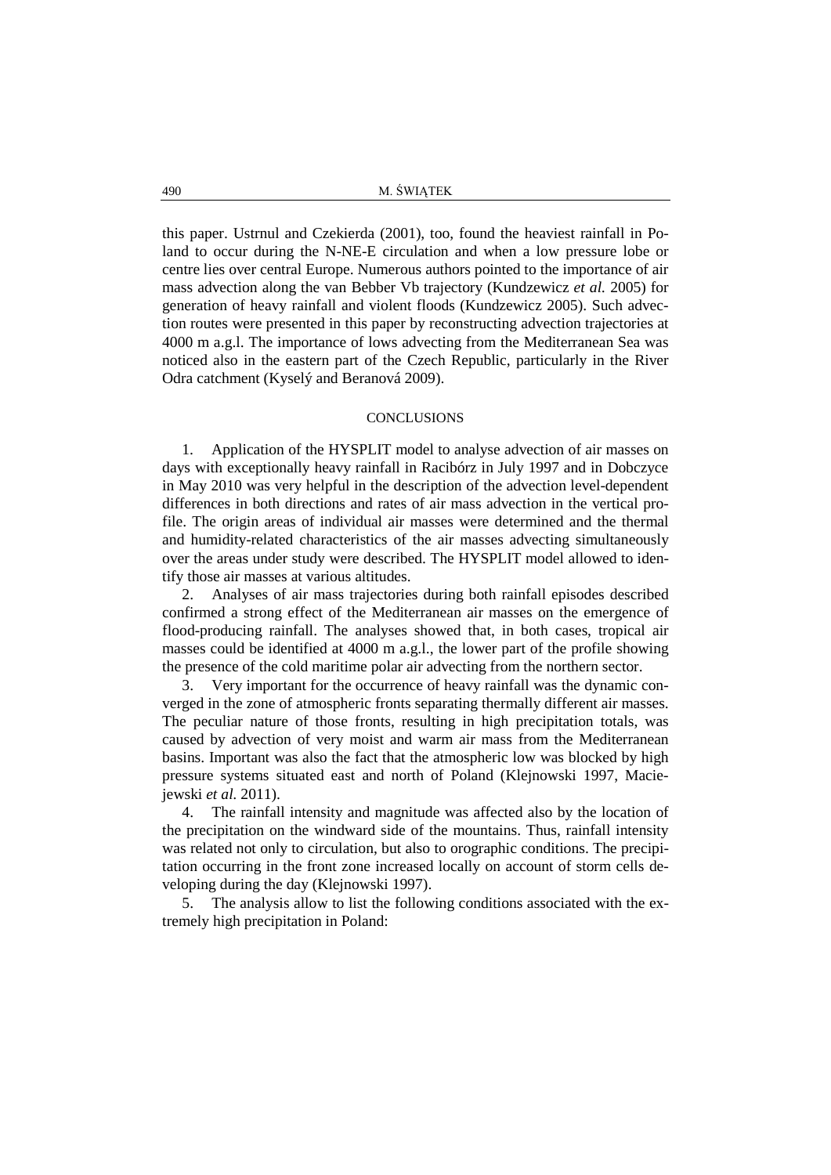this paper. Ustrnul and Czekierda (2001), too, found the heaviest rainfall in Poland to occur during the N-NE-E circulation and when a low pressure lobe or centre lies over central Europe. Numerous authors pointed to the importance of air mass advection along the van Bebber Vb trajectory (Kundzewicz *et al.* 2005) for generation of heavy rainfall and violent floods (Kundzewicz 2005). Such advection routes were presented in this paper by reconstructing advection trajectories at 4000 m a.g.l. The importance of lows advecting from the Mediterranean Sea was noticed also in the eastern part of the Czech Republic, particularly in the River Odra catchment (Kyselý and Beranová 2009).

### **CONCLUSIONS**

1. Application of the HYSPLIT model to analyse advection of air masses on days with exceptionally heavy rainfall in Racibórz in July 1997 and in Dobczyce in May 2010 was very helpful in the description of the advection level-dependent differences in both directions and rates of air mass advection in the vertical profile. The origin areas of individual air masses were determined and the thermal and humidity-related characteristics of the air masses advecting simultaneously over the areas under study were described. The HYSPLIT model allowed to identify those air masses at various altitudes.

2. Analyses of air mass trajectories during both rainfall episodes described confirmed a strong effect of the Mediterranean air masses on the emergence of flood-producing rainfall. The analyses showed that, in both cases, tropical air masses could be identified at 4000 m a.g.l., the lower part of the profile showing the presence of the cold maritime polar air advecting from the northern sector.

3. Very important for the occurrence of heavy rainfall was the dynamic converged in the zone of atmospheric fronts separating thermally different air masses. The peculiar nature of those fronts, resulting in high precipitation totals, was caused by advection of very moist and warm air mass from the Mediterranean basins. Important was also the fact that the atmospheric low was blocked by high pressure systems situated east and north of Poland (Klejnowski 1997, Maciejewski *et al.* 2011).

4. The rainfall intensity and magnitude was affected also by the location of the precipitation on the windward side of the mountains. Thus, rainfall intensity was related not only to circulation, but also to orographic conditions. The precipitation occurring in the front zone increased locally on account of storm cells developing during the day (Klejnowski 1997).

5. The analysis allow to list the following conditions associated with the extremely high precipitation in Poland: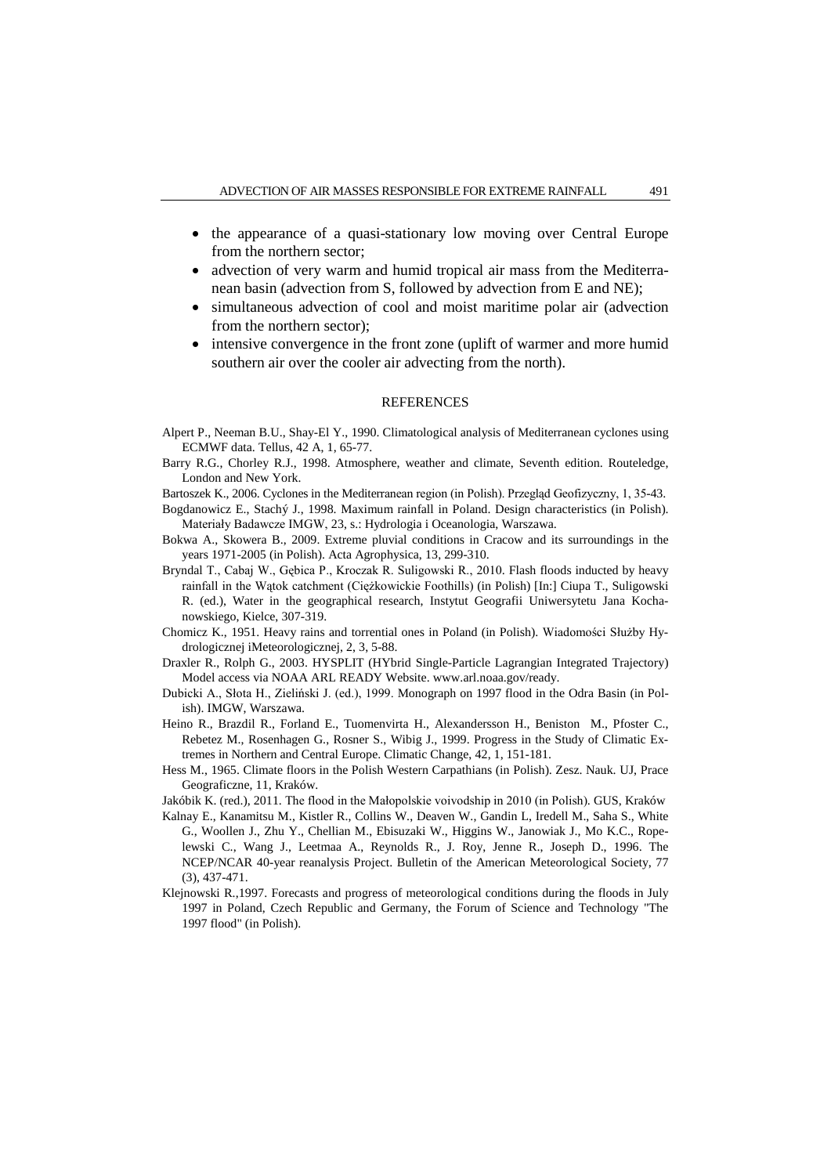- the appearance of a quasi-stationary low moving over Central Europe from the northern sector;
- advection of very warm and humid tropical air mass from the Mediterranean basin (advection from S, followed by advection from E and NE);
- simultaneous advection of cool and moist maritime polar air (advection from the northern sector);
- intensive convergence in the front zone (uplift of warmer and more humid southern air over the cooler air advecting from the north).

#### REFERENCES

- Alpert P., Neeman B.U., Shay-El Y., 1990. Climatological analysis of Mediterranean cyclones using ECMWF data. Tellus, 42 A, 1, 65-77.
- Barry R.G., Chorley R.J., 1998. Atmosphere, weather and climate, Seventh edition. Routeledge, London and New York.
- Bartoszek K., 2006. Cyclones in the Mediterranean region (in Polish). Przegląd Geofizyczny, 1, 35-43.
- Bogdanowicz E., Stachý J., 1998. Maximum rainfall in Poland. Design characteristics (in Polish). Materiały Badawcze IMGW, 23, s.: Hydrologia i Oceanologia, Warszawa.
- Bokwa A., Skowera B., 2009. Extreme pluvial conditions in Cracow and its surroundings in the years 1971-2005 (in Polish). Acta Agrophysica, 13, 299-310.
- Bryndal T., Cabaj W., Gębica P., Kroczak R. Suligowski R., 2010. Flash floods inducted by heavy rainfall in the Wątok catchment (Ciężkowickie Foothills) (in Polish) [In:] Ciupa T., Suligowski R. (ed.), Water in the geographical research, Instytut Geografii Uniwersytetu Jana Kochanowskiego, Kielce, 307-319.
- Chomicz K., 1951. Heavy rains and torrential ones in Poland (in Polish). Wiadomości Służby Hydrologicznej iMeteorologicznej, 2, 3, 5-88.
- Draxler R., Rolph G., 2003. HYSPLIT (HYbrid Single-Particle Lagrangian Integrated Trajectory) Model access via NOAA ARL READY Website. www.arl.noaa.gov/ready.
- Dubicki A., Słota H., Zieliński J. (ed.), 1999. Monograph on 1997 flood in the Odra Basin (in Polish). IMGW, Warszawa.
- Heino R., Brazdil R., Forland E., Tuomenvirta H., Alexandersson H., Beniston M., Pfoster C., Rebetez M., Rosenhagen G., Rosner S., Wibig J., 1999. Progress in the Study of Climatic Extremes in Northern and Central Europe. Climatic Change, 42, 1, 151-181.
- Hess M., 1965. Climate floors in the Polish Western Carpathians (in Polish). Zesz. Nauk. UJ, Prace Geograficzne, 11, Kraków.
- Jakóbik K. (red.), 2011. The flood in the Małopolskie voivodship in 2010 (in Polish). GUS, Kraków
- Kalnay E., Kanamitsu M., Kistler R., Collins W., Deaven W., Gandin L, Iredell M., Saha S., White G., Woollen J., Zhu Y., Chellian M., Ebisuzaki W., Higgins W., Janowiak J., Mo K.C., Ropelewski C., Wang J., Leetmaa A., Reynolds R., J. Roy, Jenne R., Joseph D., 1996. The NCEP/NCAR 40-year reanalysis Project. Bulletin of the American Meteorological Society, 77 (3), 437-471.
- Klejnowski R.,1997. Forecasts and progress of meteorological conditions during the floods in July 1997 in Poland, Czech Republic and Germany, the Forum of Science and Technology "The 1997 flood" (in Polish).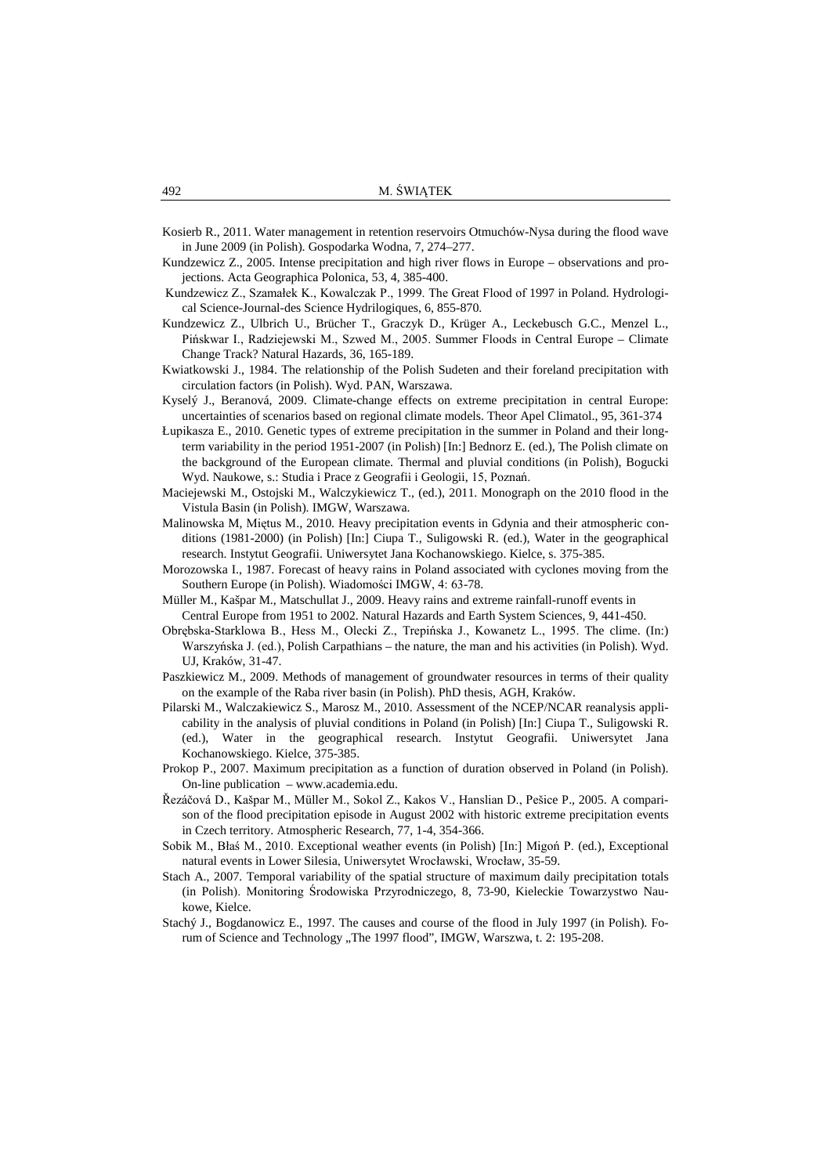Kosierb R., 2011. Water management in retention reservoirs Otmuchów-Nysa during the flood wave in June 2009 (in Polish). Gospodarka Wodna, 7, 274–277.

- Kundzewicz Z., 2005. Intense precipitation and high river flows in Europe observations and projections. Acta Geographica Polonica, 53, 4, 385-400.
- Kundzewicz Z., Szamałek K., Kowalczak P., 1999. The Great Flood of 1997 in Poland. Hydrological Science-Journal-des Science Hydrilogiques, 6, 855-870.
- Kundzewicz Z., Ulbrich U., Brücher T., Graczyk D., Krüger A., Leckebusch G.C., Menzel L., Pińskwar I., Radziejewski M., Szwed M., 2005. Summer Floods in Central Europe – Climate Change Track? Natural Hazards, 36, 165-189.
- Kwiatkowski J., 1984. The relationship of the Polish Sudeten and their foreland precipitation with circulation factors (in Polish). Wyd. PAN, Warszawa.
- Kyselý J., Beranová, 2009. Climate-change effects on extreme precipitation in central Europe: uncertainties of scenarios based on regional climate models. Theor Apel Climatol., 95, 361-374
- Łupikasza E., 2010. Genetic types of extreme precipitation in the summer in Poland and their longterm variability in the period 1951-2007 (in Polish) [In:] Bednorz E. (ed.), The Polish climate on the background of the European climate. Thermal and pluvial conditions (in Polish), Bogucki Wyd. Naukowe, s.: Studia i Prace z Geografii i Geologii, 15, Poznań.
- Maciejewski M., Ostojski M., Walczykiewicz T., (ed.), 2011. Monograph on the 2010 flood in the Vistula Basin (in Polish). IMGW, Warszawa.
- Malinowska M, Miętus M., 2010. Heavy precipitation events in Gdynia and their atmospheric conditions (1981-2000) (in Polish) [In:] Ciupa T., Suligowski R. (ed.), Water in the geographical research. Instytut Geografii. Uniwersytet Jana Kochanowskiego. Kielce, s. 375-385.
- Morozowska I., 1987. Forecast of heavy rains in Poland associated with cyclones moving from the Southern Europe (in Polish). Wiadomości IMGW, 4: 63-78.
- Müller M., Kašpar M., Matschullat J., 2009. Heavy rains and extreme rainfall-runoff events in Central Europe from 1951 to 2002. Natural Hazards and Earth System Sciences, 9, 441-450.
- Obrębska-Starklowa B., Hess M., Olecki Z., Trepińska J., Kowanetz L., 1995. The clime. (In:) Warszyńska J. (ed.), Polish Carpathians – the nature, the man and his activities (in Polish). Wyd. UJ, Kraków, 31-47.
- Paszkiewicz M., 2009. Methods of management of groundwater resources in terms of their quality on the example of the Raba river basin (in Polish). PhD thesis, AGH, Kraków.
- Pilarski M., Walczakiewicz S., Marosz M., 2010. Assessment of the NCEP/NCAR reanalysis applicability in the analysis of pluvial conditions in Poland (in Polish) [In:] Ciupa T., Suligowski R. (ed.), Water in the geographical research. Instytut Geografii. Uniwersytet Jana Kochanowskiego. Kielce, 375-385.
- Prokop P., 2007. Maximum precipitation as a function of duration observed in Poland (in Polish). On-line publication – [www.academia.edu.](http://www.academia.edu/)
- Řezáčová D., Kašpar M., Müller M., Sokol Z., Kakos V., Hanslian D., Pešice P., 2005. A comparison of the flood precipitation episode in August 2002 with historic extreme precipitation events in Czech territory. Atmospheric Research, 77, 1-4, 354-366.
- Sobik M., Błaś M., 2010. Exceptional weather events (in Polish) [In:] Migoń P. (ed.), Exceptional natural events in Lower Silesia, Uniwersytet Wrocławski, Wrocław, 35-59.
- Stach A., 2007. Temporal variability of the spatial structure of maximum daily precipitation totals (in Polish). Monitoring Środowiska Przyrodniczego, 8, 73-90, Kieleckie Towarzystwo Naukowe, Kielce.
- Stachý J., Bogdanowicz E., 1997. The causes and course of the flood in July 1997 (in Polish). Forum of Science and Technology "The 1997 flood", IMGW, Warszwa, t. 2: 195-208.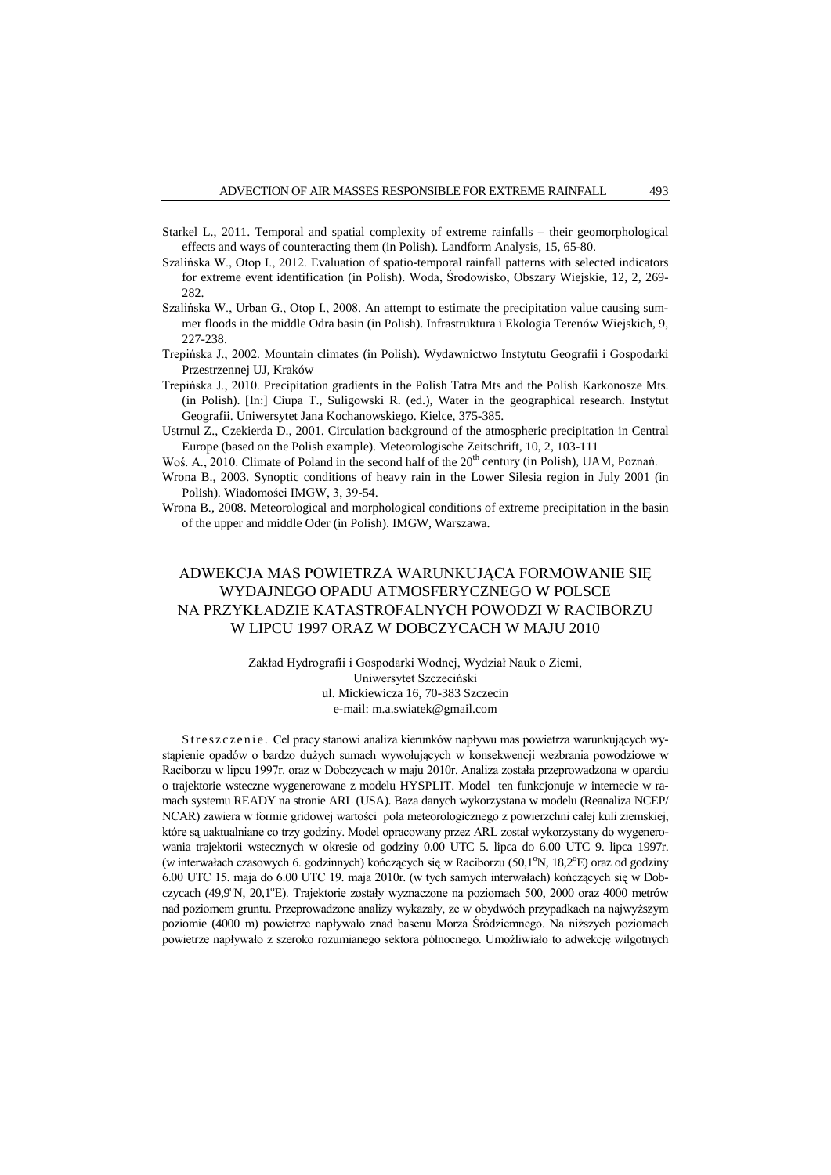- Starkel L., 2011. Temporal and spatial complexity of extreme rainfalls their geomorphological effects and ways of counteracting them (in Polish). Landform Analysis, 15, 65-80.
- Szalińska W., Otop I., 2012. Evaluation of spatio-temporal rainfall patterns with selected indicators for extreme event identification (in Polish). Woda, Środowisko, Obszary Wiejskie, 12, 2, 269- 282.
- Szalińska W., Urban G., Otop I., 2008. An attempt to estimate the precipitation value causing summer floods in the middle Odra basin (in Polish). Infrastruktura i Ekologia Terenów Wiejskich, 9, 227-238.
- Trepińska J., 2002. Mountain climates (in Polish). Wydawnictwo Instytutu Geografii i Gospodarki Przestrzennej UJ, Kraków
- Trepińska J., 2010. Precipitation gradients in the Polish Tatra Mts and the Polish Karkonosze Mts. (in Polish). [In:] Ciupa T., Suligowski R. (ed.), Water in the geographical research. Instytut Geografii. Uniwersytet Jana Kochanowskiego. Kielce, 375-385.
- Ustrnul Z., Czekierda D., 2001. Circulation background of the atmospheric precipitation in Central Europe (based on the Polish example). Meteorologische Zeitschrift, 10, 2, 103-111
- Woś. A., 2010. Climate of Poland in the second half of the  $20<sup>th</sup>$  century (in Polish), UAM, Poznań.

Wrona B., 2003. Synoptic conditions of heavy rain in the Lower Silesia region in July 2001 (in Polish). Wiadomości IMGW, 3, 39-54.

Wrona B., 2008. Meteorological and morphological conditions of extreme precipitation in the basin of the upper and middle Oder (in Polish). IMGW, Warszawa.

# ADWEKCJA MAS POWIETRZA WARUNKUJĄCA FORMOWANIE SIĘ WYDAJNEGO OPADU ATMOSFERYCZNEGO W POLSCE NA PRZYKŁADZIE KATASTROFALNYCH POWODZI W RACIBORZU W LIPCU 1997 ORAZ W DOBCZYCACH W MAJU 2010

Zakład Hydrografii i Gospodarki Wodnej, Wydział Nauk o Ziemi, Uniwersytet Szczeciński ul. Mickiewicza 16, 70-383 Szczecin e-mail: [m.a.swiatek@gmail.com](mailto:m.a.swiatek@gmail.com)

Streszczenie. Cel pracy stanowi analiza kierunków napływu mas powietrza warunkujących wystąpienie opadów o bardzo dużych sumach wywołujących w konsekwencji wezbrania powodziowe w Raciborzu w lipcu 1997r. oraz w Dobczycach w maju 2010r. Analiza została przeprowadzona w oparciu o trajektorie wsteczne wygenerowane z modelu HYSPLIT. Model ten funkcjonuje w internecie w ramach systemu READY na stronie ARL (USA). Baza danych wykorzystana w modelu (Reanaliza NCEP/ NCAR) zawiera w formie gridowej wartości pola meteorologicznego z powierzchni całej kuli ziemskiej, które są uaktualniane co trzy godziny. Model opracowany przez ARL został wykorzystany do wygenerowania trajektorii wstecznych w okresie od godziny 0.00 UTC 5. lipca do 6.00 UTC 9. lipca 1997r. (w interwałach czasowych 6. godzinnych) kończących się w Raciborzu (50,1°N, 18,2°E) oraz od godziny 6.00 UTC 15. maja do 6.00 UTC 19. maja 2010r. (w tych samych interwałach) kończących się w Dobczycach (49,9°N, 20,1°E). Trajektorie zostały wyznaczone na poziomach 500, 2000 oraz 4000 metrów nad poziomem gruntu. Przeprowadzone analizy wykazały, ze w obydwóch przypadkach na najwyższym poziomie (4000 m) powietrze napływało znad basenu Morza Śródziemnego. Na niższych poziomach powietrze napływało z szeroko rozumianego sektora północnego. Umożliwiało to adwekcję wilgotnych